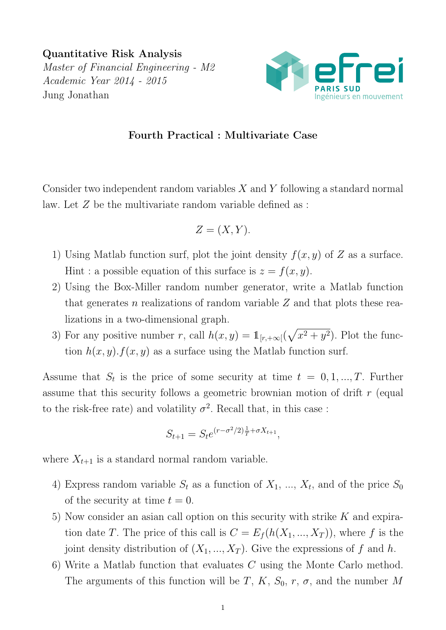Quantitative Risk Analysis Master of Financial Engineering - M2 Academic Year 2014 - 2015 Jung Jonathan



## Fourth Practical : Multivariate Case

Consider two independent random variables  $X$  and  $Y$  following a standard normal law. Let Z be the multivariate random variable defined as :

$$
Z = (X, Y).
$$

- 1) Using Matlab function surf, plot the joint density  $f(x, y)$  of Z as a surface. Hint : a possible equation of this surface is  $z = f(x, y)$ .
- 2) Using the Box-Miller random number generator, write a Matlab function that generates n realizations of random variable  $Z$  and that plots these realizations in a two-dimensional graph.
- 3) For any positive number r, call  $h(x,y) = \mathbb{1}_{[r,+\infty[}(\sqrt{x^2+y^2})$ . Plot the function  $h(x, y) \cdot f(x, y)$  as a surface using the Matlab function surf.

Assume that  $S_t$  is the price of some security at time  $t = 0, 1, ..., T$ . Further assume that this security follows a geometric brownian motion of drift r (equal to the risk-free rate) and volatility  $\sigma^2$ . Recall that, in this case:

$$
S_{t+1} = S_t e^{(r - \sigma^2/2)\frac{1}{T} + \sigma X_{t+1}},
$$

where  $X_{t+1}$  is a standard normal random variable.

- 4) Express random variable  $S_t$  as a function of  $X_1, ..., X_t$ , and of the price  $S_0$ of the security at time  $t = 0$ .
- 5) Now consider an asian call option on this security with strike  $K$  and expiration date T. The price of this call is  $C = E_f(h(X_1, ..., X_T))$ , where f is the joint density distribution of  $(X_1, ..., X_T)$ . Give the expressions of f and h.
- 6) Write a Matlab function that evaluates C using the Monte Carlo method. The arguments of this function will be T, K,  $S_0$ , r,  $\sigma$ , and the number M